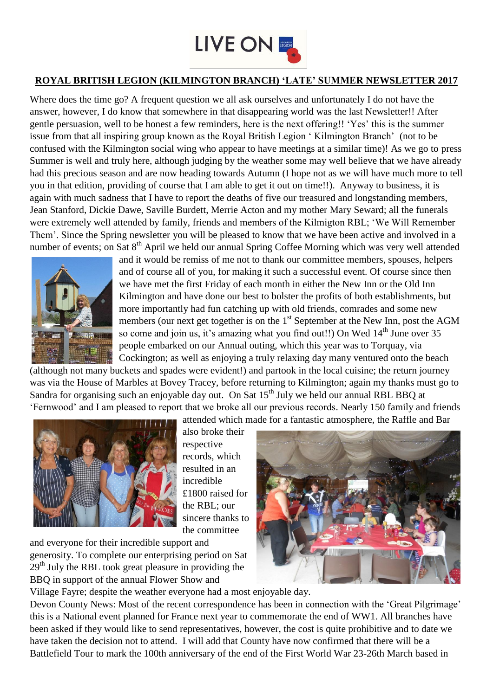

## **ROYAL BRITISH LEGION (KILMINGTON BRANCH) 'LATE' SUMMER NEWSLETTER 2017**

Where does the time go? A frequent question we all ask ourselves and unfortunately I do not have the answer, however, I do know that somewhere in that disappearing world was the last Newsletter!! After gentle persuasion, well to be honest a few reminders, here is the next offering!! 'Yes' this is the summer issue from that all inspiring group known as the Royal British Legion ' Kilmington Branch' (not to be confused with the Kilmington social wing who appear to have meetings at a similar time)! As we go to press Summer is well and truly here, although judging by the weather some may well believe that we have already had this precious season and are now heading towards Autumn (I hope not as we will have much more to tell you in that edition, providing of course that I am able to get it out on time!!). Anyway to business, it is again with much sadness that I have to report the deaths of five our treasured and longstanding members, Jean Stanford, Dickie Dawe, Saville Burdett, Merrie Acton and my mother Mary Seward; all the funerals were extremely well attended by family, friends and members of the Kilmigton RBL; 'We Will Remember Them'. Since the Spring newsletter you will be pleased to know that we have been active and involved in a number of events; on Sat 8<sup>th</sup> April we held our annual Spring Coffee Morning which was very well attended



and it would be remiss of me not to thank our committee members, spouses, helpers and of course all of you, for making it such a successful event. Of course since then we have met the first Friday of each month in either the New Inn or the Old Inn Kilmington and have done our best to bolster the profits of both establishments, but more importantly had fun catching up with old friends, comrades and some new members (our next get together is on the  $1<sup>st</sup>$  September at the New Inn, post the AGM so come and join us, it's amazing what you find out!!) On Wed  $14<sup>th</sup>$  June over 35 people embarked on our Annual outing, which this year was to Torquay, via Cockington; as well as enjoying a truly relaxing day many ventured onto the beach

(although not many buckets and spades were evident!) and partook in the local cuisine; the return journey was via the House of Marbles at Bovey Tracey, before returning to Kilmington; again my thanks must go to Sandra for organising such an enjoyable day out. On Sat  $15<sup>th</sup>$  July we held our annual RBL BBO at 'Fernwood' and I am pleased to report that we broke all our previous records. Nearly 150 family and friends attended which made for a fantastic atmosphere, the Raffle and Bar



also broke their respective records, which resulted in an incredible £1800 raised for the RBL; our sincere thanks to the committee

and everyone for their incredible support and generosity. To complete our enterprising period on Sat  $29<sup>th</sup>$  July the RBL took great pleasure in providing the BBQ in support of the annual Flower Show and



Village Fayre; despite the weather everyone had a most enjoyable day.

Devon County News: Most of the recent correspondence has been in connection with the 'Great Pilgrimage' this is a National event planned for France next year to commemorate the end of WW1. All branches have been asked if they would like to send representatives, however, the cost is quite prohibitive and to date we have taken the decision not to attend. I will add that County have now confirmed that there will be a Battlefield Tour to mark the 100th anniversary of the end of the First World War 23-26th March based in